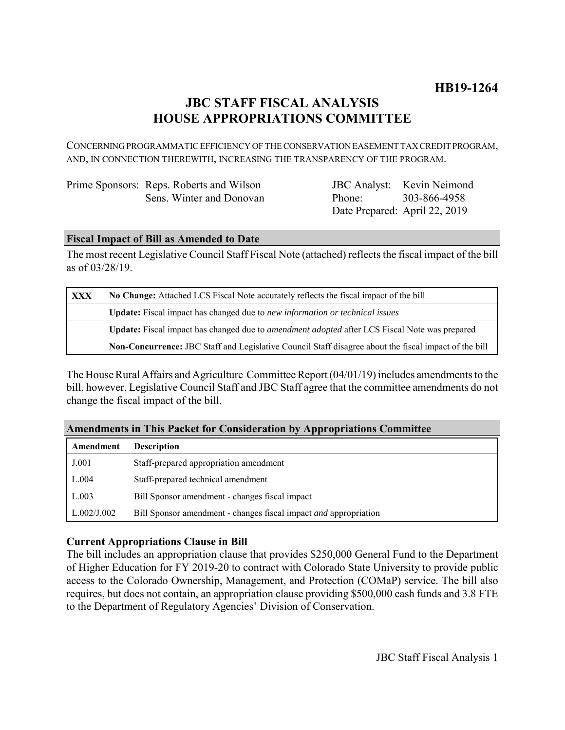# **JBC STAFF FISCAL ANALYSIS HOUSE APPROPRIATIONS COMMITTEE**

CONCERNING PROGRAMMATIC EFFICIENCY OF THE CONSERVATION EASEMENT TAX CREDIT PROGRAM, AND, IN CONNECTION THEREWITH, INCREASING THE TRANSPARENCY OF THE PROGRAM.

| Prime Sponsors: Reps. Roberts and Wilson |  |
|------------------------------------------|--|
| Sens. Winter and Donovan                 |  |

JBC Analyst: Kevin Neimond Phone: Date Prepared: April 22, 2019 303-866-4958

## **Fiscal Impact of Bill as Amended to Date**

The most recent Legislative Council Staff Fiscal Note (attached) reflects the fiscal impact of the bill as of 03/28/19.

| <b>XXX</b> | No Change: Attached LCS Fiscal Note accurately reflects the fiscal impact of the bill                       |  |
|------------|-------------------------------------------------------------------------------------------------------------|--|
|            | <b>Update:</b> Fiscal impact has changed due to new information or technical issues                         |  |
|            | <b>Update:</b> Fiscal impact has changed due to <i>amendment adopted</i> after LCS Fiscal Note was prepared |  |
|            | Non-Concurrence: JBC Staff and Legislative Council Staff disagree about the fiscal impact of the bill       |  |

The House Rural Affairs and Agriculture Committee Report (04/01/19) includes amendments to the bill, however, Legislative Council Staff and JBC Staff agree that the committee amendments do not change the fiscal impact of the bill.

| Amendments in This Packet for Consideration by Appropriations Committee |                                                                  |  |
|-------------------------------------------------------------------------|------------------------------------------------------------------|--|
| Amendment                                                               | <b>Description</b>                                               |  |
| J.001                                                                   | Staff-prepared appropriation amendment                           |  |
| L.004                                                                   | Staff-prepared technical amendment                               |  |
| L.003                                                                   | Bill Sponsor amendment - changes fiscal impact                   |  |
| L.002/J.002                                                             | Bill Sponsor amendment - changes fiscal impact and appropriation |  |

# **Amendments in This Packet for Consideration by Appropriations Committee**

# **Current Appropriations Clause in Bill**

The bill includes an appropriation clause that provides \$250,000 General Fund to the Department of Higher Education for FY 2019-20 to contract with Colorado State University to provide public access to the Colorado Ownership, Management, and Protection (COMaP) service. The bill also requires, but does not contain, an appropriation clause providing \$500,000 cash funds and 3.8 FTE to the Department of Regulatory Agencies' Division of Conservation.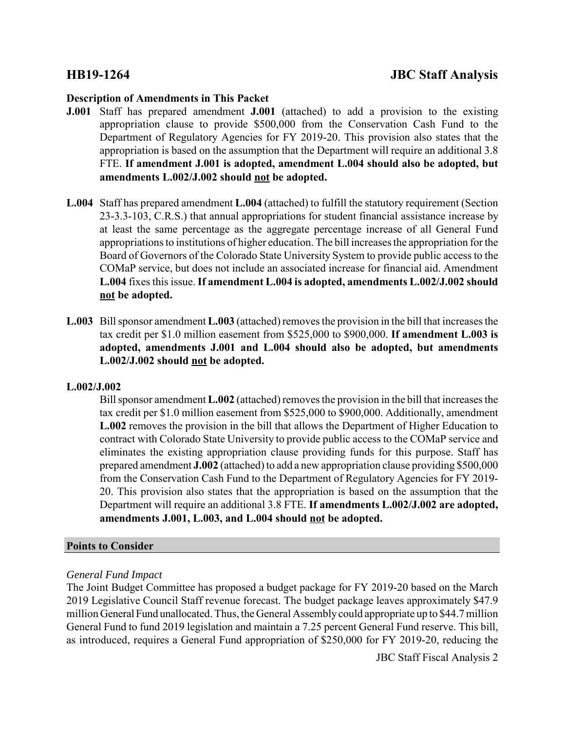### **Description of Amendments in This Packet**

- **J.001** Staff has prepared amendment **J.001** (attached) to add a provision to the existing appropriation clause to provide \$500,000 from the Conservation Cash Fund to the Department of Regulatory Agencies for FY 2019-20. This provision also states that the appropriation is based on the assumption that the Department will require an additional 3.8 FTE. **If amendment J.001 is adopted, amendment L.004 should also be adopted, but amendments L.002/J.002 should not be adopted.**
- **L.004** Staff has prepared amendment **L.004** (attached) to fulfill the statutory requirement (Section 23-3.3-103, C.R.S.) that annual appropriations for student financial assistance increase by at least the same percentage as the aggregate percentage increase of all General Fund appropriations to institutions of higher education. The bill increases the appropriation for the Board of Governors of the Colorado State University System to provide public access to the COMaP service, but does not include an associated increase for financial aid. Amendment **L.004** fixes this issue. **If amendment L.004 is adopted, amendments L.002/J.002 should not be adopted.**
- **L.003** Bill sponsor amendment **L.003** (attached) removes the provision in the bill that increases the tax credit per \$1.0 million easement from \$525,000 to \$900,000. **If amendment L.003 is adopted, amendments J.001 and L.004 should also be adopted, but amendments L.002/J.002 should not be adopted.**

### **L.002/J.002**

Bill sponsor amendment **L.002** (attached) removes the provision in the bill that increases the tax credit per \$1.0 million easement from \$525,000 to \$900,000. Additionally, amendment **L.002** removes the provision in the bill that allows the Department of Higher Education to contract with Colorado State University to provide public access to the COMaP service and eliminates the existing appropriation clause providing funds for this purpose. Staff has prepared amendment **J.002** (attached) to add a new appropriation clause providing \$500,000 from the Conservation Cash Fund to the Department of Regulatory Agencies for FY 2019- 20. This provision also states that the appropriation is based on the assumption that the Department will require an additional 3.8 FTE. **If amendments L.002/J.002 are adopted, amendments J.001, L.003, and L.004 should not be adopted.** 

### **Points to Consider**

### *General Fund Impact*

The Joint Budget Committee has proposed a budget package for FY 2019-20 based on the March 2019 Legislative Council Staff revenue forecast. The budget package leaves approximately \$47.9 million General Fund unallocated. Thus, the General Assembly could appropriate up to \$44.7 million General Fund to fund 2019 legislation and maintain a 7.25 percent General Fund reserve. This bill, as introduced, requires a General Fund appropriation of \$250,000 for FY 2019-20, reducing the